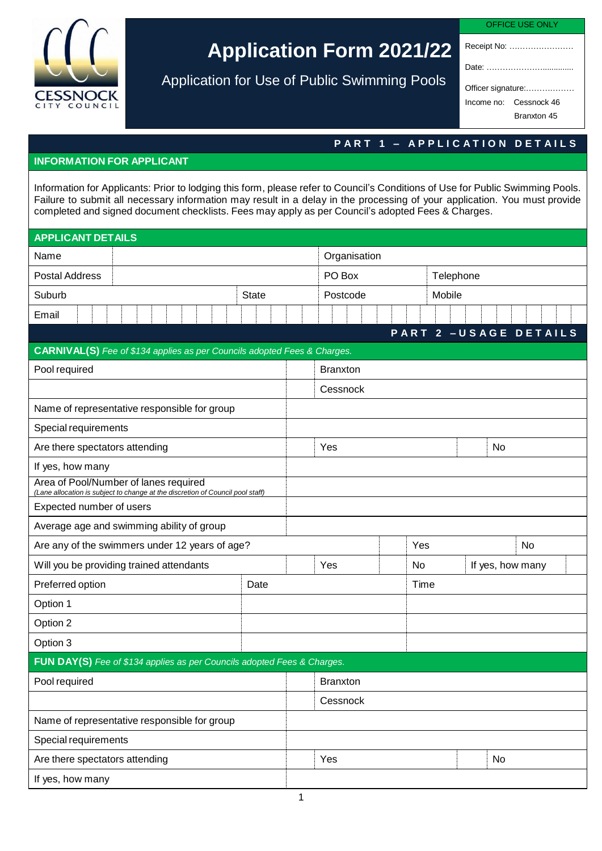

## **Application Form 2021/22**

Application for Use of Public Swimming Pools

| 42<br>- 1<br>-- | RF. |  |
|-----------------|-----|--|
|                 |     |  |

Receipt No: …………………… Date: …………………..............

Officer signature:……………… Income no: Cessnock 46

Branxton 45

## **P A R T 1 – A P P L I C A T I O N D E T A I L S**

## **INFORMATION FOR APPLICANT**

Information for Applicants: Prior to lodging this form, please refer to Council's Conditions of Use for Public Swimming Pools. Failure to submit all necessary information may result in a delay in the processing of your application. You must provide completed and signed document checklists. Fees may apply as per Council's adopted Fees & Charges.

| <b>APPLICANT DETAILS</b>                                                                                                |              |                 |                        |                        |  |  |  |
|-------------------------------------------------------------------------------------------------------------------------|--------------|-----------------|------------------------|------------------------|--|--|--|
| Name                                                                                                                    |              |                 | Organisation           |                        |  |  |  |
| <b>Postal Address</b>                                                                                                   |              |                 |                        | Telephone              |  |  |  |
| Suburb                                                                                                                  | <b>State</b> |                 | Mobile                 |                        |  |  |  |
| Email                                                                                                                   |              |                 |                        |                        |  |  |  |
|                                                                                                                         |              |                 |                        | PART 2 - USAGE DETAILS |  |  |  |
| <b>CARNIVAL(S)</b> Fee of \$134 applies as per Councils adopted Fees & Charges.                                         |              |                 |                        |                        |  |  |  |
| Pool required                                                                                                           |              | <b>Branxton</b> |                        |                        |  |  |  |
|                                                                                                                         |              | Cessnock        |                        |                        |  |  |  |
| Name of representative responsible for group                                                                            |              |                 |                        |                        |  |  |  |
| Special requirements                                                                                                    |              |                 |                        |                        |  |  |  |
| Are there spectators attending                                                                                          |              | Yes             |                        | No                     |  |  |  |
| If yes, how many                                                                                                        |              |                 |                        |                        |  |  |  |
| Area of Pool/Number of lanes required<br>(Lane allocation is subject to change at the discretion of Council pool staff) |              |                 |                        |                        |  |  |  |
| Expected number of users                                                                                                |              |                 |                        |                        |  |  |  |
| Average age and swimming ability of group                                                                               |              |                 |                        |                        |  |  |  |
| Are any of the swimmers under 12 years of age?                                                                          |              |                 | Yes                    | <b>No</b>              |  |  |  |
| Will you be providing trained attendants                                                                                |              | Yes             | No<br>If yes, how many |                        |  |  |  |
| Preferred option                                                                                                        | Date         | Time            |                        |                        |  |  |  |
| Option 1                                                                                                                |              |                 |                        |                        |  |  |  |
| Option 2                                                                                                                |              |                 |                        |                        |  |  |  |
| Option 3                                                                                                                |              |                 |                        |                        |  |  |  |
| FUN DAY(S) Fee of \$134 applies as per Councils adopted Fees & Charges.                                                 |              |                 |                        |                        |  |  |  |
| Pool required                                                                                                           |              | <b>Branxton</b> |                        |                        |  |  |  |
|                                                                                                                         |              | Cessnock        |                        |                        |  |  |  |
| Name of representative responsible for group                                                                            |              |                 |                        |                        |  |  |  |
| Special requirements                                                                                                    |              |                 |                        |                        |  |  |  |
| Are there spectators attending                                                                                          |              | Yes<br>No       |                        |                        |  |  |  |
| If yes, how many                                                                                                        |              |                 |                        |                        |  |  |  |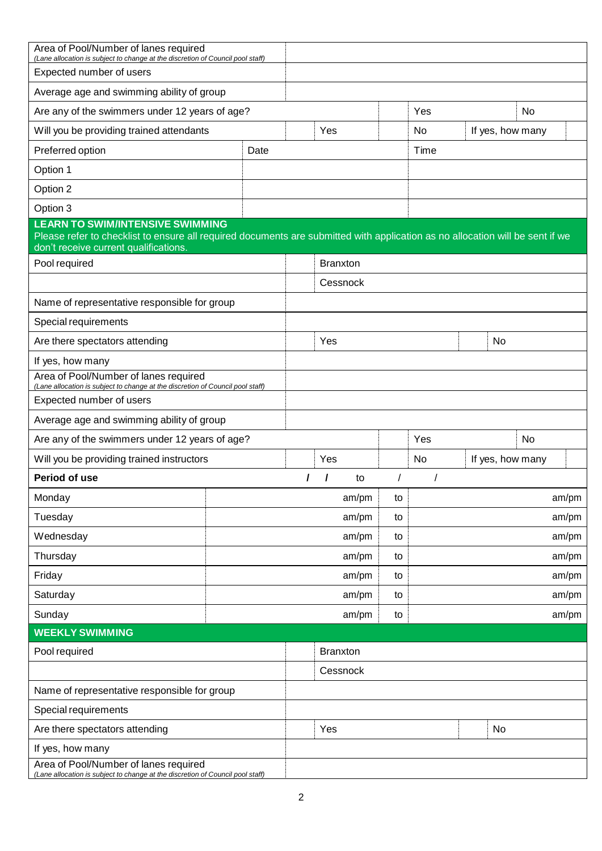| Area of Pool/Number of lanes required<br>(Lane allocation is subject to change at the discretion of Council pool staff)<br>Expected number of users                                                               |      |                 |       |    |       |                  |       |
|-------------------------------------------------------------------------------------------------------------------------------------------------------------------------------------------------------------------|------|-----------------|-------|----|-------|------------------|-------|
| Average age and swimming ability of group                                                                                                                                                                         |      |                 |       |    |       |                  |       |
| Are any of the swimmers under 12 years of age?                                                                                                                                                                    |      |                 |       |    | Yes   | <b>No</b>        |       |
| Will you be providing trained attendants                                                                                                                                                                          |      | Yes             |       |    | No    | If yes, how many |       |
| Preferred option                                                                                                                                                                                                  | Date |                 |       |    | Time  |                  |       |
| Option 1                                                                                                                                                                                                          |      |                 |       |    |       |                  |       |
| Option 2                                                                                                                                                                                                          |      |                 |       |    |       |                  |       |
| Option 3                                                                                                                                                                                                          |      |                 |       |    |       |                  |       |
| <b>LEARN TO SWIM/INTENSIVE SWIMMING</b><br>Please refer to checklist to ensure all required documents are submitted with application as no allocation will be sent if we<br>don't receive current qualifications. |      |                 |       |    |       |                  |       |
| Pool required                                                                                                                                                                                                     |      | <b>Branxton</b> |       |    |       |                  |       |
|                                                                                                                                                                                                                   |      | Cessnock        |       |    |       |                  |       |
| Name of representative responsible for group                                                                                                                                                                      |      |                 |       |    |       |                  |       |
| Special requirements                                                                                                                                                                                              |      |                 |       |    |       |                  |       |
| Are there spectators attending                                                                                                                                                                                    |      | Yes             |       |    |       | No               |       |
| If yes, how many                                                                                                                                                                                                  |      |                 |       |    |       |                  |       |
| Area of Pool/Number of lanes required<br>(Lane allocation is subject to change at the discretion of Council pool staff)                                                                                           |      |                 |       |    |       |                  |       |
| Expected number of users                                                                                                                                                                                          |      |                 |       |    |       |                  |       |
| Average age and swimming ability of group                                                                                                                                                                         |      |                 |       |    |       |                  |       |
| Are any of the swimmers under 12 years of age?                                                                                                                                                                    |      |                 |       |    | Yes   | <b>No</b>        |       |
| Will you be providing trained instructors                                                                                                                                                                         |      | Yes             |       |    | No    | If yes, how many |       |
| Period of use                                                                                                                                                                                                     |      |                 | to    |    |       |                  |       |
| Monday                                                                                                                                                                                                            |      |                 | am/pm | to |       |                  | am/pm |
| Tuesday                                                                                                                                                                                                           |      |                 | am/pm | to | am/pm |                  |       |
| Wednesday                                                                                                                                                                                                         |      |                 | am/pm | to |       |                  | am/pm |
| Thursday                                                                                                                                                                                                          |      |                 | am/pm | to | am/pm |                  |       |
| Friday                                                                                                                                                                                                            |      |                 | am/pm | to |       |                  | am/pm |
| Saturday                                                                                                                                                                                                          |      |                 | am/pm | to |       |                  | am/pm |
| Sunday                                                                                                                                                                                                            |      |                 | am/pm | to |       |                  | am/pm |
| <b>WEEKLY SWIMMING</b>                                                                                                                                                                                            |      |                 |       |    |       |                  |       |
| Pool required                                                                                                                                                                                                     |      | <b>Branxton</b> |       |    |       |                  |       |
|                                                                                                                                                                                                                   |      | Cessnock        |       |    |       |                  |       |
| Name of representative responsible for group                                                                                                                                                                      |      |                 |       |    |       |                  |       |
| Special requirements                                                                                                                                                                                              |      |                 |       |    |       |                  |       |
| Are there spectators attending                                                                                                                                                                                    |      | Yes             |       |    |       | No               |       |
| If yes, how many                                                                                                                                                                                                  |      |                 |       |    |       |                  |       |
| Area of Pool/Number of lanes required<br>(Lane allocation is subject to change at the discretion of Council pool staff)                                                                                           |      |                 |       |    |       |                  |       |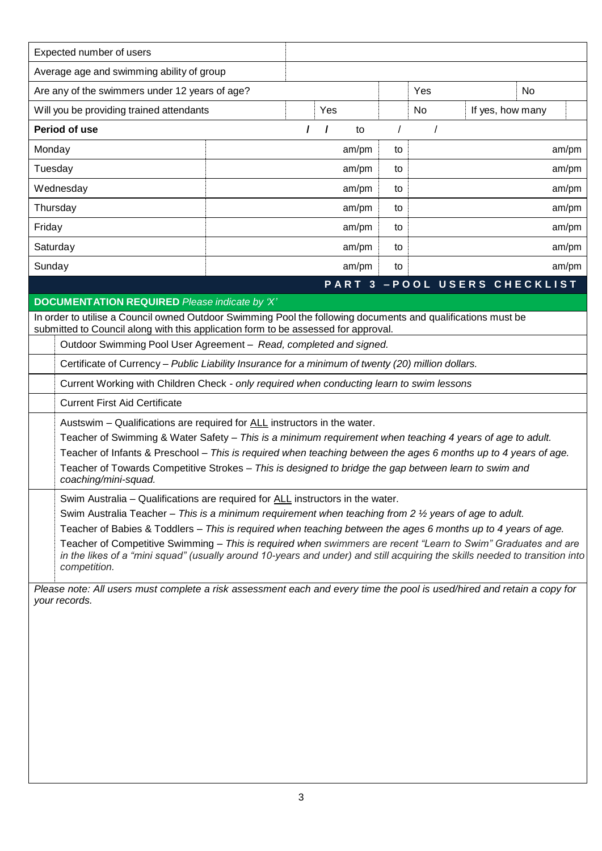|                                                                                                                                                                                                                                                              | Expected number of users                                                                                                                                                              |  |   |         |          |           |                               |  |
|--------------------------------------------------------------------------------------------------------------------------------------------------------------------------------------------------------------------------------------------------------------|---------------------------------------------------------------------------------------------------------------------------------------------------------------------------------------|--|---|---------|----------|-----------|-------------------------------|--|
|                                                                                                                                                                                                                                                              | Average age and swimming ability of group                                                                                                                                             |  |   |         |          |           |                               |  |
| Are any of the swimmers under 12 years of age?                                                                                                                                                                                                               |                                                                                                                                                                                       |  |   |         |          | Yes       | No                            |  |
|                                                                                                                                                                                                                                                              | Will you be providing trained attendants                                                                                                                                              |  |   | Yes     |          | <b>No</b> | If yes, how many              |  |
| Period of use                                                                                                                                                                                                                                                |                                                                                                                                                                                       |  | I | 1<br>to | $\prime$ |           |                               |  |
| Monday                                                                                                                                                                                                                                                       |                                                                                                                                                                                       |  |   | am/pm   | to       |           | am/pm                         |  |
| Tuesday                                                                                                                                                                                                                                                      |                                                                                                                                                                                       |  |   | am/pm   | to       |           | am/pm                         |  |
| Wednesday                                                                                                                                                                                                                                                    |                                                                                                                                                                                       |  |   | am/pm   | to       |           | am/pm                         |  |
| Thursday                                                                                                                                                                                                                                                     |                                                                                                                                                                                       |  |   | am/pm   | to       | am/pm     |                               |  |
| Friday                                                                                                                                                                                                                                                       |                                                                                                                                                                                       |  |   | am/pm   | to       |           | am/pm                         |  |
| Saturday                                                                                                                                                                                                                                                     |                                                                                                                                                                                       |  |   | am/pm   | to       |           | am/pm                         |  |
| Sunday                                                                                                                                                                                                                                                       |                                                                                                                                                                                       |  |   | am/pm   | to       |           | am/pm                         |  |
|                                                                                                                                                                                                                                                              |                                                                                                                                                                                       |  |   |         |          |           | PART 3 - POOL USERS CHECKLIST |  |
|                                                                                                                                                                                                                                                              | <b>DOCUMENTATION REQUIRED</b> Please indicate by 'X'                                                                                                                                  |  |   |         |          |           |                               |  |
|                                                                                                                                                                                                                                                              | In order to utilise a Council owned Outdoor Swimming Pool the following documents and qualifications must be                                                                          |  |   |         |          |           |                               |  |
|                                                                                                                                                                                                                                                              | submitted to Council along with this application form to be assessed for approval.<br>Outdoor Swimming Pool User Agreement - Read, completed and signed.                              |  |   |         |          |           |                               |  |
|                                                                                                                                                                                                                                                              | Certificate of Currency - Public Liability Insurance for a minimum of twenty (20) million dollars.                                                                                    |  |   |         |          |           |                               |  |
|                                                                                                                                                                                                                                                              | Current Working with Children Check - only required when conducting learn to swim lessons                                                                                             |  |   |         |          |           |                               |  |
|                                                                                                                                                                                                                                                              | <b>Current First Aid Certificate</b>                                                                                                                                                  |  |   |         |          |           |                               |  |
|                                                                                                                                                                                                                                                              |                                                                                                                                                                                       |  |   |         |          |           |                               |  |
|                                                                                                                                                                                                                                                              | Austswim – Qualifications are required for ALL instructors in the water.<br>Teacher of Swimming & Water Safety - This is a minimum requirement when teaching 4 years of age to adult. |  |   |         |          |           |                               |  |
|                                                                                                                                                                                                                                                              | Teacher of Infants & Preschool - This is required when teaching between the ages 6 months up to 4 years of age.                                                                       |  |   |         |          |           |                               |  |
| Teacher of Towards Competitive Strokes - This is designed to bridge the gap between learn to swim and<br>coaching/mini-squad.                                                                                                                                |                                                                                                                                                                                       |  |   |         |          |           |                               |  |
| Swim Australia - Qualifications are required for ALL instructors in the water.                                                                                                                                                                               |                                                                                                                                                                                       |  |   |         |          |           |                               |  |
| Swim Australia Teacher - This is a minimum requirement when teaching from 2 1/2 years of age to adult.                                                                                                                                                       |                                                                                                                                                                                       |  |   |         |          |           |                               |  |
| Teacher of Babies & Toddlers - This is required when teaching between the ages 6 months up to 4 years of age.                                                                                                                                                |                                                                                                                                                                                       |  |   |         |          |           |                               |  |
| Teacher of Competitive Swimming – This is required when swimmers are recent "Learn to Swim" Graduates and are<br>in the likes of a "mini squad" (usually around 10-years and under) and still acquiring the skills needed to transition into<br>competition. |                                                                                                                                                                                       |  |   |         |          |           |                               |  |
| Please note: All users must complete a risk assessment each and every time the pool is used/hired and retain a copy for                                                                                                                                      |                                                                                                                                                                                       |  |   |         |          |           |                               |  |
| your records.                                                                                                                                                                                                                                                |                                                                                                                                                                                       |  |   |         |          |           |                               |  |
|                                                                                                                                                                                                                                                              |                                                                                                                                                                                       |  |   |         |          |           |                               |  |
|                                                                                                                                                                                                                                                              |                                                                                                                                                                                       |  |   |         |          |           |                               |  |
|                                                                                                                                                                                                                                                              |                                                                                                                                                                                       |  |   |         |          |           |                               |  |
|                                                                                                                                                                                                                                                              |                                                                                                                                                                                       |  |   |         |          |           |                               |  |
|                                                                                                                                                                                                                                                              |                                                                                                                                                                                       |  |   |         |          |           |                               |  |
|                                                                                                                                                                                                                                                              |                                                                                                                                                                                       |  |   |         |          |           |                               |  |
|                                                                                                                                                                                                                                                              |                                                                                                                                                                                       |  |   |         |          |           |                               |  |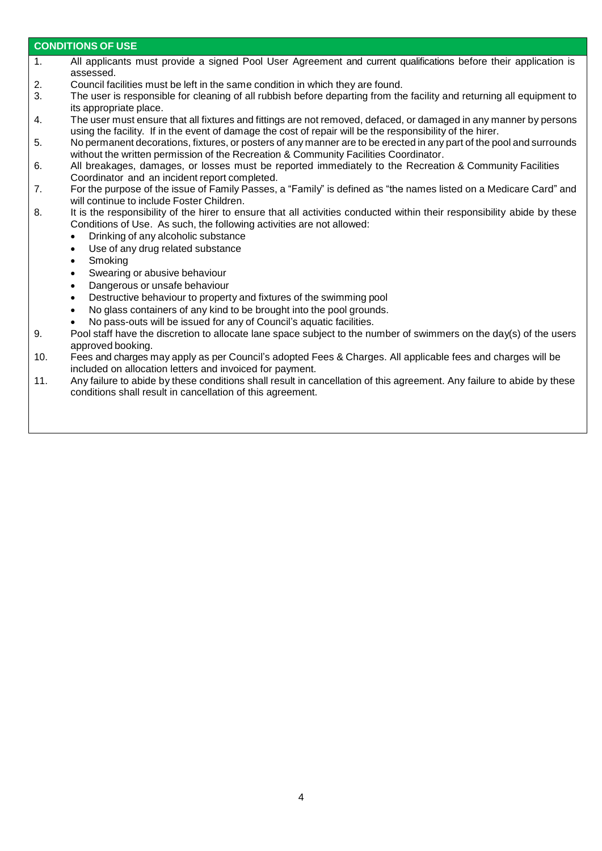## **CONDITIONS OF USE**

- 1. All applicants must provide a signed Pool User Agreement and current qualifications before their application is assessed.
- 2. Council facilities must be left in the same condition in which they are found.<br>3. The user is responsible for cleaning of all rubbish before departing from the
- The user is responsible for cleaning of all rubbish before departing from the facility and returning all equipment to its appropriate place.
- 4. The user must ensure that all fixtures and fittings are not removed, defaced, or damaged in any manner by persons using the facility. If in the event of damage the cost of repair will be the responsibility of the hirer.
- 5. No permanent decorations, fixtures, or posters of any manner are to be erected in any part of the pool and surrounds without the written permission of the Recreation & Community Facilities Coordinator.
- 6. All breakages, damages, or losses must be reported immediately to the Recreation & Community Facilities Coordinator and an incident report completed.
- 7. For the purpose of the issue of Family Passes, a "Family" is defined as "the names listed on a Medicare Card" and will continue to include Foster Children.
- 8. It is the responsibility of the hirer to ensure that all activities conducted within their responsibility abide by these Conditions of Use. As such, the following activities are not allowed:
	- Drinking of any alcoholic substance
	- Use of any drug related substance
	- Smoking
	- Swearing or abusive behaviour
	- Dangerous or unsafe behaviour
	- Destructive behaviour to property and fixtures of the swimming pool
	- No glass containers of any kind to be brought into the pool grounds.
	- No pass-outs will be issued for any of Council's aquatic facilities.
- 9. Pool staff have the discretion to allocate lane space subject to the number of swimmers on the day(s) of the users approved booking.
- 10. Fees and charges may apply as per Council's adopted Fees & Charges. All applicable fees and charges will be included on allocation letters and invoiced for payment.
- 11. Any failure to abide by these conditions shall result in cancellation of this agreement. Any failure to abide by these conditions shall result in cancellation of this agreement.